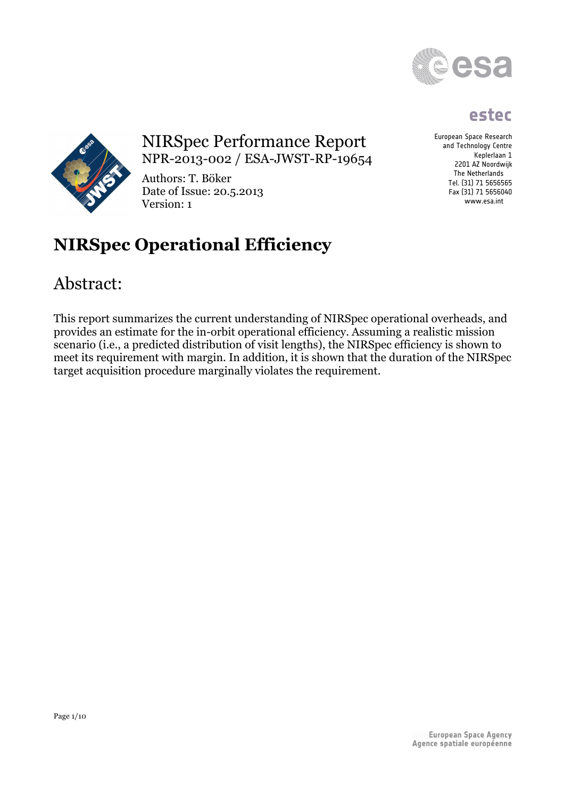

## **estec**

European Space Research and Technology Centre Keplerlaan 1 2201 AZ Noordwijk The Netherlands Tel. (31) 71 5656565 Fax (31) 71 5656040 www.esa.int



## NIRSpec Performance Report NPR-2013-002 / ESA-JWST-RP-19654

Authors: T. Böker Date of Issue: 20.5.2013 Version: 1

# **NIRSpec Operational Efficiency**

## Abstract:

This report summarizes the current understanding of NIRSpec operational overheads, and provides an estimate for the in-orbit operational efficiency. Assuming a realistic mission scenario (i.e., a predicted distribution of visit lengths), the NIRSpec efficiency is shown to meet its requirement with margin. In addition, it is shown that the duration of the NIRSpec target acquisition procedure marginally violates the requirement.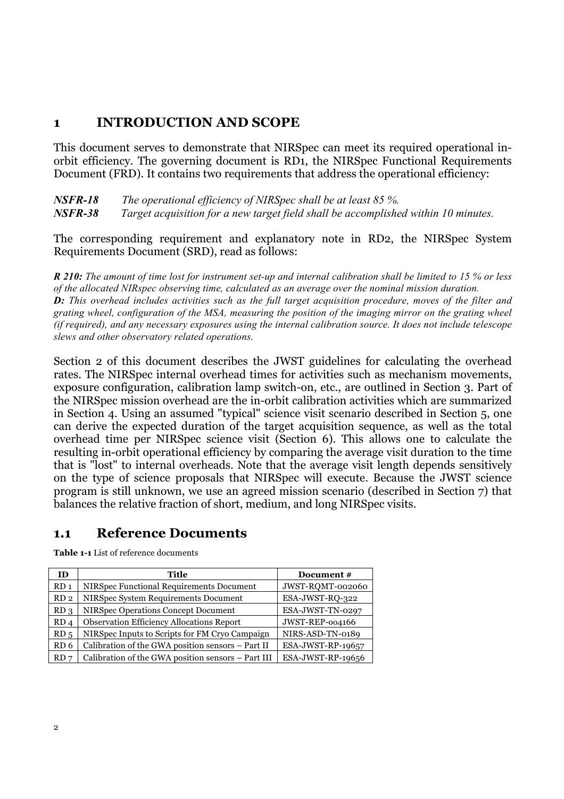#### **1 INTRODUCTION AND SCOPE**

This document serves to demonstrate that NIRSpec can meet its required operational inorbit efficiency. The governing document is RD1, the NIRSpec Functional Requirements Document (FRD). It contains two requirements that address the operational efficiency:

*NSFR-18 The operational efficiency of NIRSpec shall be at least 85 %. NSFR-38 Target acquisition for a new target field shall be accomplished within 10 minutes.*

The corresponding requirement and explanatory note in RD2, the NIRSpec System Requirements Document (SRD), read as follows:

*R 210: The amount of time lost for instrument set-up and internal calibration shall be limited to 15 % or less of the allocated NIRspec observing time, calculated as an average over the nominal mission duration. D: This overhead includes activities such as the full target acquisition procedure, moves of the filter and grating wheel, configuration of the MSA, measuring the position of the imaging mirror on the grating wheel (if required), and any necessary exposures using the internal calibration source. It does not include telescope slews and other observatory related operations.*

Section 2 of this document describes the JWST guidelines for calculating the overhead rates. The NIRSpec internal overhead times for activities such as mechanism movements, exposure configuration, calibration lamp switch-on, etc., are outlined in Section 3. Part of the NIRSpec mission overhead are the in-orbit calibration activities which are summarized in Section 4. Using an assumed "typical" science visit scenario described in Section 5, one can derive the expected duration of the target acquisition sequence, as well as the total overhead time per NIRSpec science visit (Section 6). This allows one to calculate the resulting in-orbit operational efficiency by comparing the average visit duration to the time that is "lost" to internal overheads. Note that the average visit length depends sensitively on the type of science proposals that NIRSpec will execute. Because the JWST science program is still unknown, we use an agreed mission scenario (described in Section 7) that balances the relative fraction of short, medium, and long NIRSpec visits.

#### **1.1 Reference Documents**

**Table 1-1** List of reference documents

| ID              | Title                                              | Document #        |
|-----------------|----------------------------------------------------|-------------------|
| RD <sub>1</sub> | NIRSpec Functional Requirements Document           | JWST-ROMT-002060  |
| RD <sub>2</sub> | NIRSpec System Requirements Document               | ESA-JWST-RO-322   |
| RD <sub>3</sub> | NIRSpec Operations Concept Document                | ESA-JWST-TN-0297  |
| RD <sub>4</sub> | <b>Observation Efficiency Allocations Report</b>   | JWST-REP-004166   |
| RD <sub>5</sub> | NIRSpec Inputs to Scripts for FM Cryo Campaign     | NIRS-ASD-TN-0189  |
| RD <sub>6</sub> | Calibration of the GWA position sensors - Part II  | ESA-JWST-RP-19657 |
| RD <sub>7</sub> | Calibration of the GWA position sensors - Part III | ESA-JWST-RP-19656 |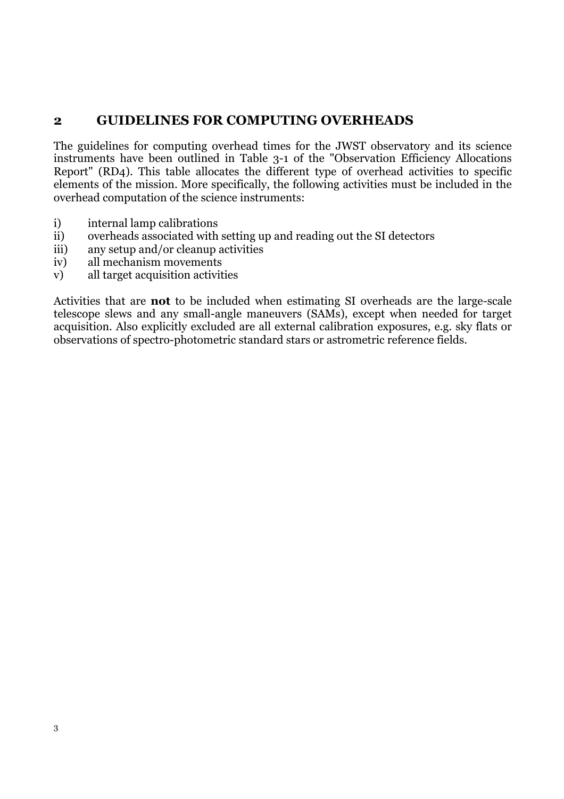## **2 GUIDELINES FOR COMPUTING OVERHEADS**

The guidelines for computing overhead times for the JWST observatory and its science instruments have been outlined in Table 3-1 of the "Observation Efficiency Allocations Report" (RD4). This table allocates the different type of overhead activities to specific elements of the mission. More specifically, the following activities must be included in the overhead computation of the science instruments:

- i) internal lamp calibrations
- ii) overheads associated with setting up and reading out the SI detectors
- iii) any setup and/or cleanup activities
- iv) all mechanism movements
- v) all target acquisition activities

Activities that are **not** to be included when estimating SI overheads are the large-scale telescope slews and any small-angle maneuvers (SAMs), except when needed for target acquisition. Also explicitly excluded are all external calibration exposures, e.g. sky flats or observations of spectro-photometric standard stars or astrometric reference fields.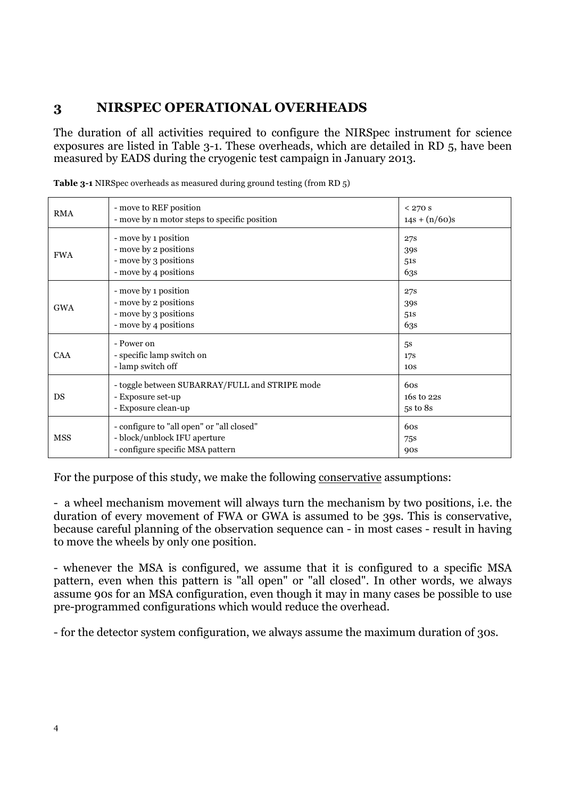#### **3 NIRSPEC OPERATIONAL OVERHEADS**

The duration of all activities required to configure the NIRSpec instrument for science exposures are listed in Table 3-1. These overheads, which are detailed in RD 5, have been measured by EADS during the cryogenic test campaign in January 2013.

| <b>RMA</b> | - move to REF position<br>- move by n motor steps to specific position                                        | $< 270$ s<br>$14s + (n/60)s$             |
|------------|---------------------------------------------------------------------------------------------------------------|------------------------------------------|
| <b>FWA</b> | - move by 1 position<br>- move by 2 positions<br>- move by 3 positions<br>- move by 4 positions               | 27 <sub>S</sub><br>39s<br>51S<br>63s     |
| <b>GWA</b> | - move by 1 position<br>- move by 2 positions<br>- move by 3 positions<br>- move by 4 positions               | <b>27S</b><br>39s<br>51S<br>63s          |
| <b>CAA</b> | - Power on<br>- specific lamp switch on<br>- lamp switch off                                                  | 5 <sub>s</sub><br>17S<br>10 <sub>S</sub> |
| DS         | - toggle between SUBARRAY/FULL and STRIPE mode<br>- Exposure set-up<br>- Exposure clean-up                    | 60s<br>16s to 22s<br>5s to 8s            |
| <b>MSS</b> | - configure to "all open" or "all closed"<br>- block/unblock IFU aperture<br>- configure specific MSA pattern | 6 <sub>OS</sub><br>75s<br><b>90s</b>     |

**Table 3-1** NIRSpec overheads as measured during ground testing (from RD 5)

For the purpose of this study, we make the following conservative assumptions:

- a wheel mechanism movement will always turn the mechanism by two positions, i.e. the duration of every movement of FWA or GWA is assumed to be 39s. This is conservative, because careful planning of the observation sequence can - in most cases - result in having to move the wheels by only one position.

- whenever the MSA is configured, we assume that it is configured to a specific MSA pattern, even when this pattern is "all open" or "all closed". In other words, we always assume 90s for an MSA configuration, even though it may in many cases be possible to use pre-programmed configurations which would reduce the overhead.

- for the detector system configuration, we always assume the maximum duration of 30s.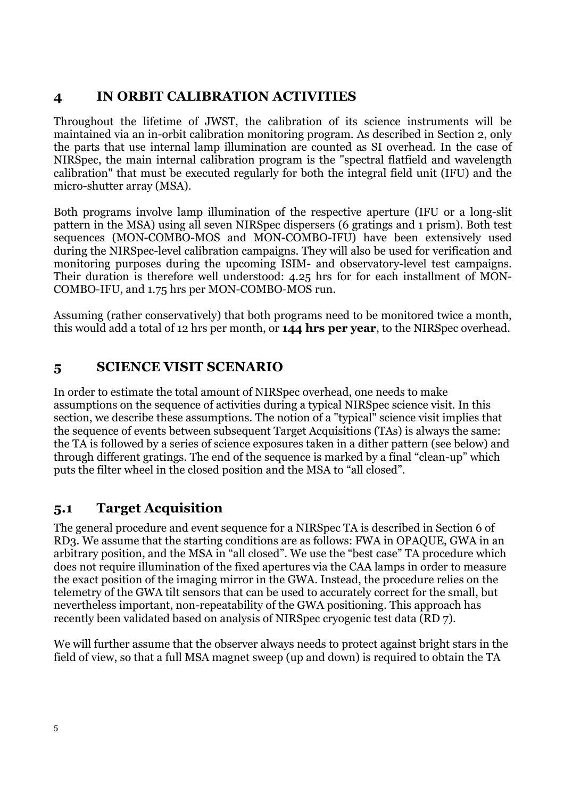## **4 IN ORBIT CALIBRATION ACTIVITIES**

Throughout the lifetime of JWST, the calibration of its science instruments will be maintained via an in-orbit calibration monitoring program. As described in Section 2, only the parts that use internal lamp illumination are counted as SI overhead. In the case of NIRSpec, the main internal calibration program is the "spectral flatfield and wavelength calibration" that must be executed regularly for both the integral field unit (IFU) and the micro-shutter array (MSA).

Both programs involve lamp illumination of the respective aperture (IFU or a long-slit pattern in the MSA) using all seven NIRSpec dispersers (6 gratings and 1 prism). Both test sequences (MON-COMBO-MOS and MON-COMBO-IFU) have been extensively used during the NIRSpec-level calibration campaigns. They will also be used for verification and monitoring purposes during the upcoming ISIM- and observatory-level test campaigns. Their duration is therefore well understood: 4.25 hrs for for each installment of MON-COMBO-IFU, and 1.75 hrs per MON-COMBO-MOS run.

Assuming (rather conservatively) that both programs need to be monitored twice a month, this would add a total of 12 hrs per month, or **144 hrs per year**, to the NIRSpec overhead.

## **5 SCIENCE VISIT SCENARIO**

In order to estimate the total amount of NIRSpec overhead, one needs to make assumptions on the sequence of activities during a typical NIRSpec science visit. In this section, we describe these assumptions. The notion of a "typical" science visit implies that the sequence of events between subsequent Target Acquisitions (TAs) is always the same: the TA is followed by a series of science exposures taken in a dither pattern (see below) and through different gratings. The end of the sequence is marked by a final "clean-up" which puts the filter wheel in the closed position and the MSA to "all closed".

## **5.1 Target Acquisition**

The general procedure and event sequence for a NIRSpec TA is described in Section 6 of RD3. We assume that the starting conditions are as follows: FWA in OPAQUE, GWA in an arbitrary position, and the MSA in "all closed". We use the "best case" TA procedure which does not require illumination of the fixed apertures via the CAA lamps in order to measure the exact position of the imaging mirror in the GWA. Instead, the procedure relies on the telemetry of the GWA tilt sensors that can be used to accurately correct for the small, but nevertheless important, non-repeatability of the GWA positioning. This approach has recently been validated based on analysis of NIRSpec cryogenic test data (RD 7).

We will further assume that the observer always needs to protect against bright stars in the field of view, so that a full MSA magnet sweep (up and down) is required to obtain the TA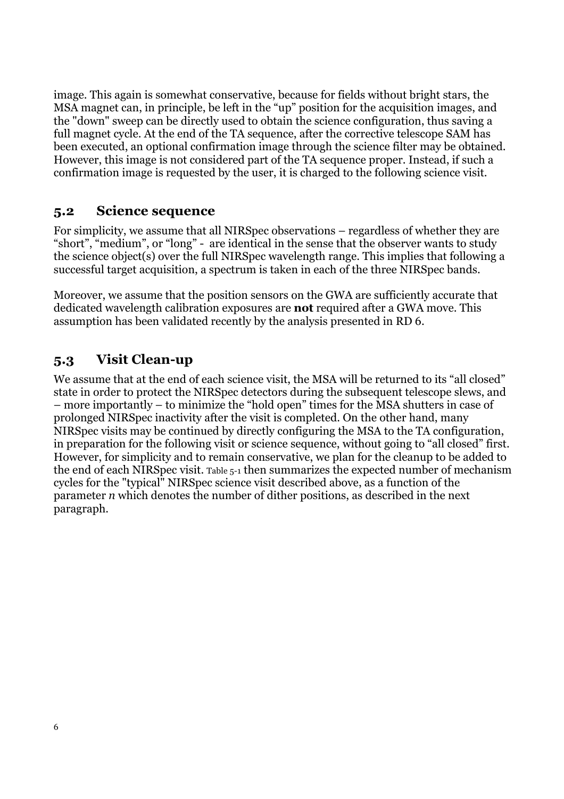image. This again is somewhat conservative, because for fields without bright stars, the MSA magnet can, in principle, be left in the "up" position for the acquisition images, and the "down" sweep can be directly used to obtain the science configuration, thus saving a full magnet cycle. At the end of the TA sequence, after the corrective telescope SAM has been executed, an optional confirmation image through the science filter may be obtained. However, this image is not considered part of the TA sequence proper. Instead, if such a confirmation image is requested by the user, it is charged to the following science visit.

## **5.2 Science sequence**

For simplicity, we assume that all NIRSpec observations – regardless of whether they are "short", "medium", or "long" - are identical in the sense that the observer wants to study the science object(s) over the full NIRSpec wavelength range. This implies that following a successful target acquisition, a spectrum is taken in each of the three NIRSpec bands.

Moreover, we assume that the position sensors on the GWA are sufficiently accurate that dedicated wavelength calibration exposures are **not** required after a GWA move. This assumption has been validated recently by the analysis presented in RD 6.

## **5.3 Visit Clean-up**

We assume that at the end of each science visit, the MSA will be returned to its "all closed" state in order to protect the NIRSpec detectors during the subsequent telescope slews, and – more importantly – to minimize the "hold open" times for the MSA shutters in case of prolonged NIRSpec inactivity after the visit is completed. On the other hand, many NIRSpec visits may be continued by directly configuring the MSA to the TA configuration, in preparation for the following visit or science sequence, without going to "all closed" first. However, for simplicity and to remain conservative, we plan for the cleanup to be added to the end of each NIRSpec visit. Table 5-1 then summarizes the expected number of mechanism cycles for the "typical" NIRSpec science visit described above, as a function of the parameter *n* which denotes the number of dither positions, as described in the next paragraph.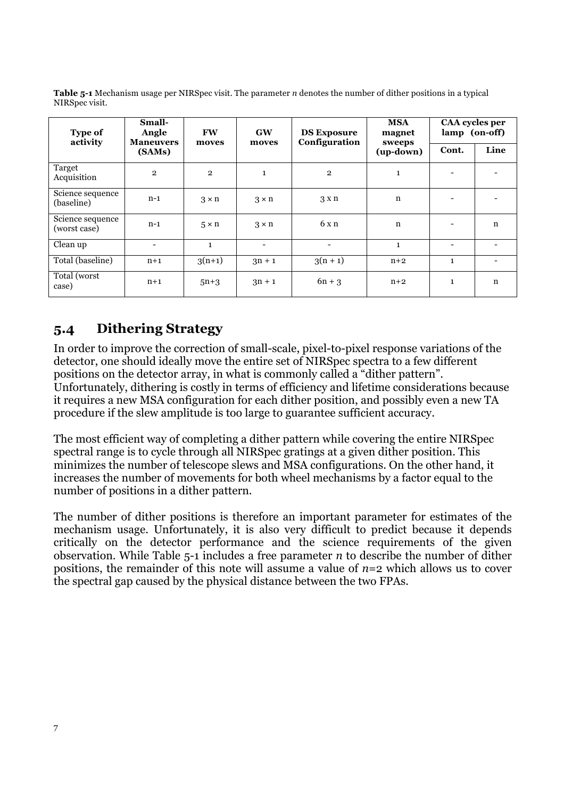**Table 5-1** Mechanism usage per NIRSpec visit. The parameter *n* denotes the number of dither positions in a typical NIRSpec visit.

| <b>Type of</b><br>activity       | Small-<br>Angle<br><b>Maneuvers</b><br>(SAMs) | <b>FW</b><br>moves | <b>GW</b><br>moves | <b>DS Exposure</b><br>Configuration | <b>MSA</b><br>magnet<br>sweeps<br>(up-down) | CAA cycles per<br>lamp (on-off) |      |
|----------------------------------|-----------------------------------------------|--------------------|--------------------|-------------------------------------|---------------------------------------------|---------------------------------|------|
|                                  |                                               |                    |                    |                                     |                                             | Cont.                           | Line |
| Target<br>Acquisition            | $\overline{2}$                                | $\overline{2}$     | $\mathbf{1}$       | $\overline{2}$                      | $\mathbf{1}$                                | $\overline{\phantom{a}}$        |      |
| Science sequence<br>(baseline)   | $n-1$                                         | $3 \times n$       | $3 \times n$       | 3xn                                 | n                                           |                                 |      |
| Science sequence<br>(worst case) | $n-1$                                         | $5 \times n$       | $3 \times n$       | 6xn                                 | n                                           | $\qquad \qquad \blacksquare$    | n    |
| Clean up                         | -                                             | $\mathbf{1}$       | -                  | $\overline{\phantom{a}}$            | $\mathbf{1}$                                | $\overline{\phantom{a}}$        |      |
| Total (baseline)                 | $n+1$                                         | $3(n+1)$           | $3n + 1$           | $3(n + 1)$                          | $n+2$                                       | $\mathbf{1}$                    |      |
| Total (worst<br>case)            | $n+1$                                         | $5n+3$             | $3n + 1$           | $6n + 3$                            | $n+2$                                       | $\mathbf{1}$                    | n    |

## **5.4 Dithering Strategy**

In order to improve the correction of small-scale, pixel-to-pixel response variations of the detector, one should ideally move the entire set of NIRSpec spectra to a few different positions on the detector array, in what is commonly called a "dither pattern". Unfortunately, dithering is costly in terms of efficiency and lifetime considerations because it requires a new MSA configuration for each dither position, and possibly even a new TA procedure if the slew amplitude is too large to guarantee sufficient accuracy.

The most efficient way of completing a dither pattern while covering the entire NIRSpec spectral range is to cycle through all NIRSpec gratings at a given dither position. This minimizes the number of telescope slews and MSA configurations. On the other hand, it increases the number of movements for both wheel mechanisms by a factor equal to the number of positions in a dither pattern.

The number of dither positions is therefore an important parameter for estimates of the mechanism usage. Unfortunately, it is also very difficult to predict because it depends critically on the detector performance and the science requirements of the given observation. While Table 5-1 includes a free parameter *n* to describe the number of dither positions, the remainder of this note will assume a value of  $n=2$  which allows us to cover the spectral gap caused by the physical distance between the two FPAs.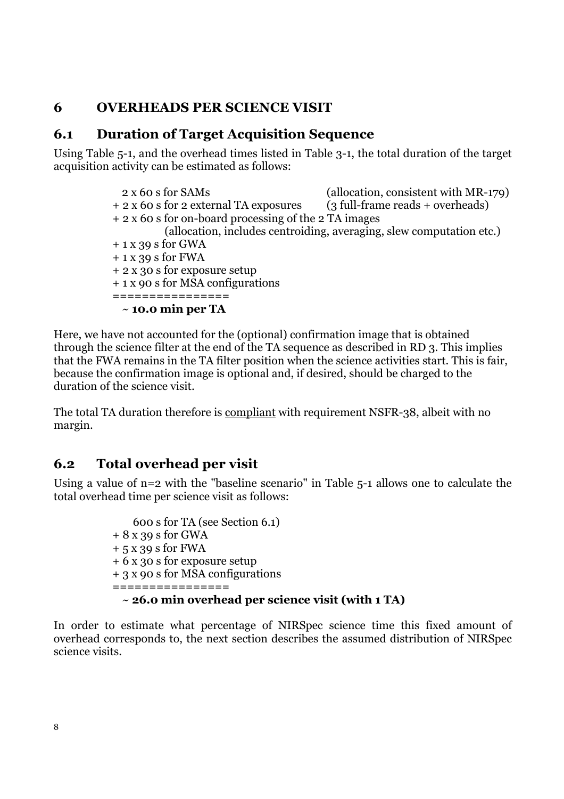## **6 OVERHEADS PER SCIENCE VISIT**

#### **6.1 Duration of Target Acquisition Sequence**

Using Table 5-1, and the overhead times listed in Table 3-1, the total duration of the target acquisition activity can be estimated as follows:

> 2 x 60 s for SAMs (allocation, consistent with MR-179) + 2 x 60 s for 2 external TA exposures (3 full-frame reads + overheads) + 2 x 60 s for on-board processing of the 2 TA images (allocation, includes centroiding, averaging, slew computation etc.) + 1 x 39 s for GWA + 1 x 39 s for FWA + 2 x 30 s for exposure setup + 1 x 90 s for MSA configurations ================ ~ **10.0 min per TA**

Here, we have not accounted for the (optional) confirmation image that is obtained through the science filter at the end of the TA sequence as described in RD 3. This implies that the FWA remains in the TA filter position when the science activities start. This is fair, because the confirmation image is optional and, if desired, should be charged to the duration of the science visit.

The total TA duration therefore is compliant with requirement NSFR-38, albeit with no margin.

#### **6.2 Total overhead per visit**

Using a value of n=2 with the "baseline scenario" in Table 5-1 allows one to calculate the total overhead time per science visit as follows:

> 600 s for TA (see Section 6.1) + 8 x 39 s for GWA + 5 x 39 s for FWA + 6 x 30 s for exposure setup + 3 x 90 s for MSA configurations ================ ~ **26.0 min overhead per science visit (with 1 TA)**

In order to estimate what percentage of NIRSpec science time this fixed amount of overhead corresponds to, the next section describes the assumed distribution of NIRSpec science visits.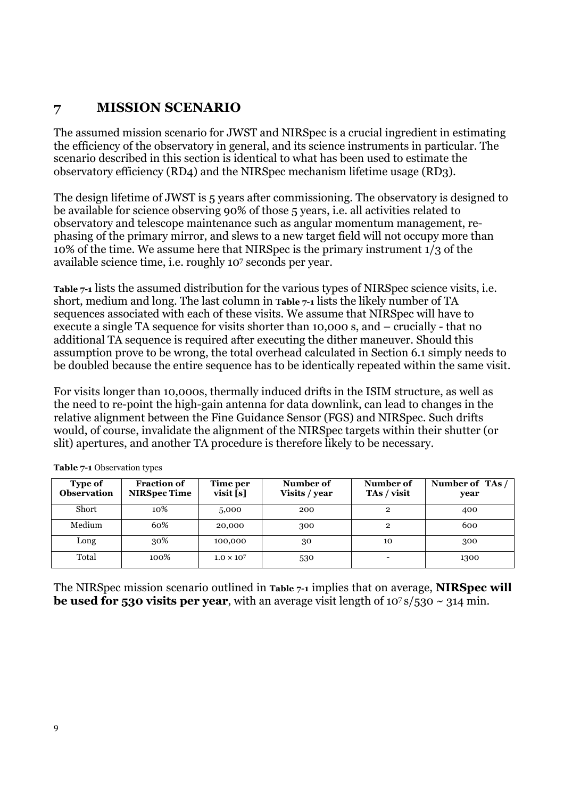## **7 MISSION SCENARIO**

The assumed mission scenario for JWST and NIRSpec is a crucial ingredient in estimating the efficiency of the observatory in general, and its science instruments in particular. The scenario described in this section is identical to what has been used to estimate the observatory efficiency (RD4) and the NIRSpec mechanism lifetime usage (RD3).

The design lifetime of JWST is 5 years after commissioning. The observatory is designed to be available for science observing 90% of those 5 years, i.e. all activities related to observatory and telescope maintenance such as angular momentum management, rephasing of the primary mirror, and slews to a new target field will not occupy more than 10% of the time. We assume here that NIRSpec is the primary instrument 1/3 of the available science time, i.e. roughly 107 seconds per year.

**Table 7-1** lists the assumed distribution for the various types of NIRSpec science visits, i.e. short, medium and long. The last column in **Table 7-1** lists the likely number of TA sequences associated with each of these visits. We assume that NIRSpec will have to execute a single TA sequence for visits shorter than 10,000 s, and – crucially - that no additional TA sequence is required after executing the dither maneuver. Should this assumption prove to be wrong, the total overhead calculated in Section 6.1 simply needs to be doubled because the entire sequence has to be identically repeated within the same visit.

For visits longer than 10,000s, thermally induced drifts in the ISIM structure, as well as the need to re-point the high-gain antenna for data downlink, can lead to changes in the relative alignment between the Fine Guidance Sensor (FGS) and NIRSpec. Such drifts would, of course, invalidate the alignment of the NIRSpec targets within their shutter (or slit) apertures, and another TA procedure is therefore likely to be necessary.

| Type of<br><b>Observation</b> | <b>Fraction of</b><br><b>NIRSpec Time</b> | Time per<br>visit[s] | Number of<br>Visits / year | Number of<br>TAs / visit     | Number of TAs/<br>year |
|-------------------------------|-------------------------------------------|----------------------|----------------------------|------------------------------|------------------------|
| Short                         | 10%                                       | 5,000                | 200                        | 2                            | 400                    |
| Medium                        | 60%                                       | 20,000               | 300                        | $\mathbf{2}$                 | 600                    |
| Long                          | 30%                                       | 100,000              | 30                         | 10                           | 300                    |
| Total                         | 100%                                      | $1.0 \times 10^{7}$  | 530                        | $\qquad \qquad \blacksquare$ | 1300                   |

**Table 7-1** Observation types

The NIRSpec mission scenario outlined in **Table 7-1** implies that on average, **NIRSpec will be used for 530 visits per year**, with an average visit length of  $10^7 \text{s}/530 \sim 314 \text{ min}$ .